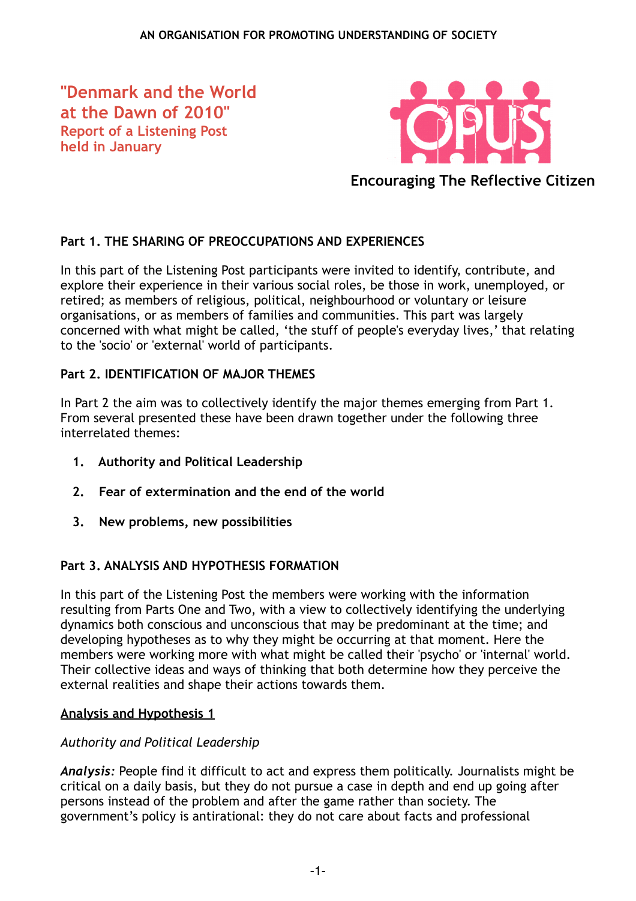**"Denmark and the World at the Dawn of 2010" Report of a Listening Post held in January**



**Encouraging The Reflective Citizen**

# **Part 1. THE SHARING OF PREOCCUPATIONS AND EXPERIENCES**

In this part of the Listening Post participants were invited to identify, contribute, and explore their experience in their various social roles, be those in work, unemployed, or retired; as members of religious, political, neighbourhood or voluntary or leisure organisations, or as members of families and communities. This part was largely concerned with what might be called, 'the stuff of people's everyday lives,' that relating to the 'socio' or 'external' world of participants.

## **Part 2. IDENTIFICATION OF MAJOR THEMES**

In Part 2 the aim was to collectively identify the major themes emerging from Part 1. From several presented these have been drawn together under the following three interrelated themes:

- **1. Authority and Political Leadership**
- **2. Fear of extermination and the end of the world**
- **3. New problems, new possibilities**

## **Part 3. ANALYSIS AND HYPOTHESIS FORMATION**

In this part of the Listening Post the members were working with the information resulting from Parts One and Two, with a view to collectively identifying the underlying dynamics both conscious and unconscious that may be predominant at the time; and developing hypotheses as to why they might be occurring at that moment. Here the members were working more with what might be called their 'psycho' or 'internal' world. Their collective ideas and ways of thinking that both determine how they perceive the external realities and shape their actions towards them.

## **Analysis and Hypothesis 1**

## *Authority and Political Leadership*

*Analysis:* People find it difficult to act and express them politically. Journalists might be critical on a daily basis, but they do not pursue a case in depth and end up going after persons instead of the problem and after the game rather than society. The government's policy is antirational: they do not care about facts and professional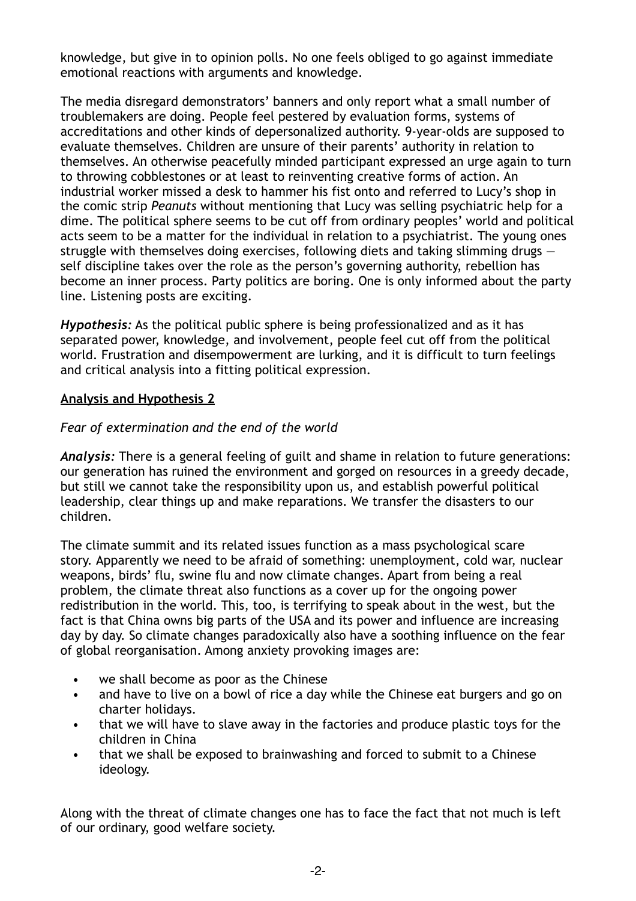knowledge, but give in to opinion polls. No one feels obliged to go against immediate emotional reactions with arguments and knowledge.

The media disregard demonstrators' banners and only report what a small number of troublemakers are doing. People feel pestered by evaluation forms, systems of accreditations and other kinds of depersonalized authority. 9-year-olds are supposed to evaluate themselves. Children are unsure of their parents' authority in relation to themselves. An otherwise peacefully minded participant expressed an urge again to turn to throwing cobblestones or at least to reinventing creative forms of action. An industrial worker missed a desk to hammer his fist onto and referred to Lucy's shop in the comic strip *Peanuts* without mentioning that Lucy was selling psychiatric help for a dime. The political sphere seems to be cut off from ordinary peoples' world and political acts seem to be a matter for the individual in relation to a psychiatrist. The young ones struggle with themselves doing exercises, following diets and taking slimming drugs self discipline takes over the role as the person's governing authority, rebellion has become an inner process. Party politics are boring. One is only informed about the party line. Listening posts are exciting.

*Hypothesis:* As the political public sphere is being professionalized and as it has separated power, knowledge, and involvement, people feel cut off from the political world. Frustration and disempowerment are lurking, and it is difficult to turn feelings and critical analysis into a fitting political expression.

#### **Analysis and Hypothesis 2**

#### *Fear of extermination and the end of the world*

*Analysis:* There is a general feeling of guilt and shame in relation to future generations: our generation has ruined the environment and gorged on resources in a greedy decade, but still we cannot take the responsibility upon us, and establish powerful political leadership, clear things up and make reparations. We transfer the disasters to our children.

The climate summit and its related issues function as a mass psychological scare story. Apparently we need to be afraid of something: unemployment, cold war, nuclear weapons, birds' flu, swine flu and now climate changes. Apart from being a real problem, the climate threat also functions as a cover up for the ongoing power redistribution in the world. This, too, is terrifying to speak about in the west, but the fact is that China owns big parts of the USA and its power and influence are increasing day by day. So climate changes paradoxically also have a soothing influence on the fear of global reorganisation. Among anxiety provoking images are:

- we shall become as poor as the Chinese
- and have to live on a bowl of rice a day while the Chinese eat burgers and go on charter holidays.
- that we will have to slave away in the factories and produce plastic toys for the children in China
- that we shall be exposed to brainwashing and forced to submit to a Chinese ideology.

Along with the threat of climate changes one has to face the fact that not much is left of our ordinary, good welfare society.